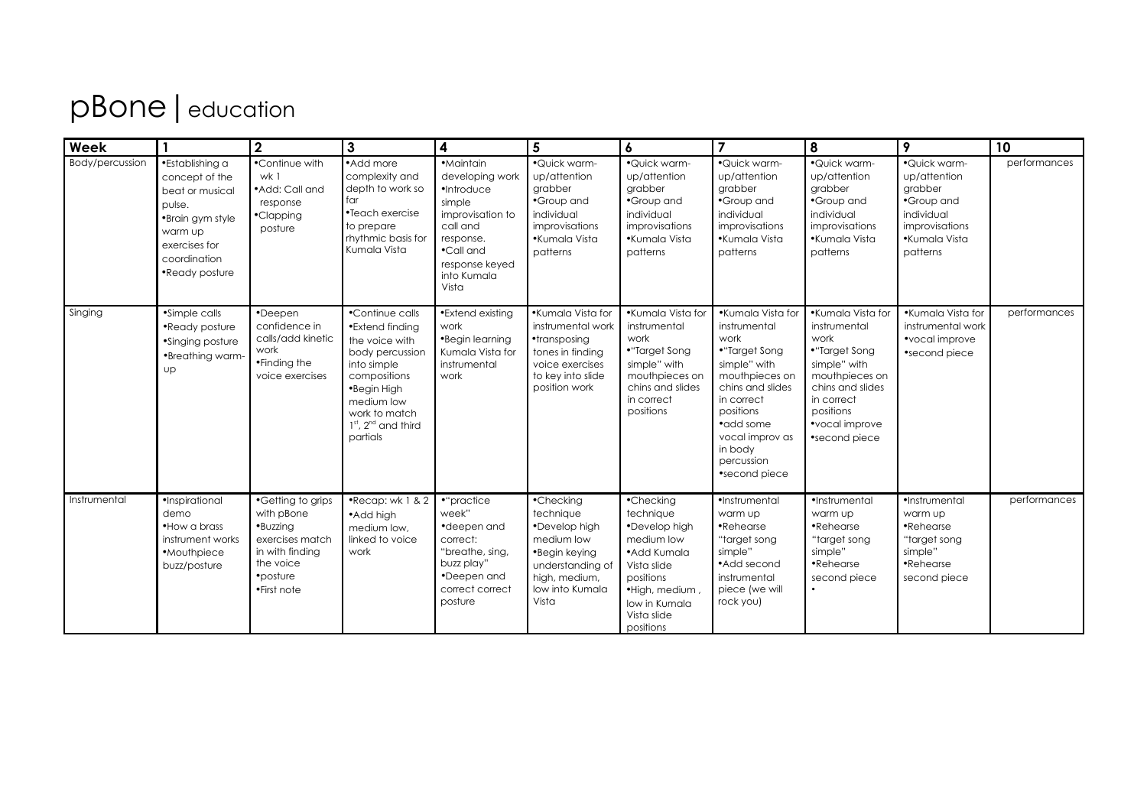## pBone | education

| Week            |                                                                                                                                                  | $\overline{2}$                                                                                                            | $\mathbf{3}$                                                                                                                                                                                | $\overline{\mathbf{4}}$                                                                                                                                  | $5\overline{)}$                                                                                                                         | $\boldsymbol{6}$                                                                                                                                                 | $\overline{7}$                                                                                                                                                                                                        | 8                                                                                                                                                                              | 9                                                                                                                  | 10           |
|-----------------|--------------------------------------------------------------------------------------------------------------------------------------------------|---------------------------------------------------------------------------------------------------------------------------|---------------------------------------------------------------------------------------------------------------------------------------------------------------------------------------------|----------------------------------------------------------------------------------------------------------------------------------------------------------|-----------------------------------------------------------------------------------------------------------------------------------------|------------------------------------------------------------------------------------------------------------------------------------------------------------------|-----------------------------------------------------------------------------------------------------------------------------------------------------------------------------------------------------------------------|--------------------------------------------------------------------------------------------------------------------------------------------------------------------------------|--------------------------------------------------------------------------------------------------------------------|--------------|
| Body/percussion | •Establishing a<br>concept of the<br>beat or musical<br>pulse.<br>•Brain gym style<br>warm up<br>exercises for<br>coordination<br>•Ready posture | •Continue with<br>wk 1<br>• Add: Call and<br>response<br>•Clapping<br>posture                                             | •Add more<br>complexity and<br>depth to work so<br>far<br>•Teach exercise<br>to prepare<br>rhythmic basis for<br>Kumala Vista                                                               | ·Maintain<br>developing work<br>·Introduce<br>simple<br>improvisation to<br>call and<br>response.<br>•Call and<br>response keyed<br>into Kumala<br>Vista | ·Quick warm-<br>up/attention<br>grabber<br>•Group and<br>individual<br>improvisations<br>•Kumala Vista<br>patterns                      | ·Quick warm-<br>up/attention<br>grabber<br>•Group and<br>individual<br>improvisations<br>•Kumala Vista<br>patterns                                               | ·Quick warm-<br>up/attention<br>grabber<br>•Group and<br>individual<br>improvisations<br>•Kumala Vista<br>patterns                                                                                                    | ·Quick warm-<br>up/attention<br>grabber<br>•Group and<br>individual<br>improvisations<br>•Kumala Vista<br>patterns                                                             | ·Quick warm-<br>up/attention<br>grabber<br>•Group and<br>individual<br>improvisations<br>•Kumala Vista<br>patterns | performances |
| Singing         | •Simple calls<br>•Ready posture<br>•Singing posture<br>•Breathing warm-<br><b>up</b>                                                             | •Deepen<br>confidence in<br>calls/add kinetic<br>work<br>•Finding the<br>voice exercises                                  | •Continue calls<br>•Extend finding<br>the voice with<br>body percussion<br>into simple<br>compositions<br>•Begin High<br>medium low<br>work to match<br>$1st$ , $2nd$ and third<br>partials | •Extend existing<br>work<br>•Begin learning<br>Kumala Vista for<br>instrumental<br>work                                                                  | •Kumala Vista for<br>instrumental work<br>•transposing<br>tones in finding<br>voice exercises<br>to key into slide<br>position work     | •Kumala Vista for<br>instrumental<br>work<br>•"Target Song<br>simple" with<br>mouthpieces on<br>chins and slides<br>in correct<br>positions                      | •Kumala Vista for<br>instrumental<br>work<br>•"Target Song<br>simple" with<br>mouthpieces on<br>chins and slides<br>in correct<br>positions<br>•add some<br>vocal improv as<br>in body<br>percussion<br>•second piece | •Kumala Vista for<br>instrumental<br>work<br>•"Target Song<br>simple" with<br>mouthpieces on<br>chins and slides<br>in correct<br>positions<br>•vocal improve<br>•second piece | •Kumala Vista for<br>instrumental work<br>•vocal improve<br>•second piece                                          | performances |
| Instrumental    | ·Inspirational<br>demo<br>• How a brass<br>instrument works<br>•Mouthpiece<br>buzz/posture                                                       | •Getting to grips<br>with pBone<br>·Buzzing<br>exercises match<br>in with finding<br>the voice<br>•posture<br>•First note | .Recap: wk 1 & 2<br>•Add high<br>medium low,<br>linked to voice<br>work                                                                                                                     | •"practice<br>week"<br>•deepen and<br>correct:<br>"breathe, sing,<br>buzz play"<br>•Deepen and<br>correct correct<br>posture                             | •Checking<br>technique<br>•Develop high<br>medium low<br>•Begin keying<br>understanding of<br>high, medium,<br>low into Kumala<br>Vista | •Checking<br>technique<br>•Develop high<br>medium low<br>• Add Kumala<br>Vista slide<br>positions<br>·High, medium,<br>low in Kumala<br>Vista slide<br>positions | ·Instrumental<br>warm up<br>•Rehearse<br>"target song<br>simple"<br>• Add second<br>instrumental<br>piece (we will<br>rock you)                                                                                       | ·Instrumental<br>warm up<br>•Rehearse<br>"target song<br>simple"<br>•Rehearse<br>second piece                                                                                  | ·Instrumental<br>warm up<br>•Rehearse<br>"target song<br>simple"<br>•Rehearse<br>second piece                      | performances |